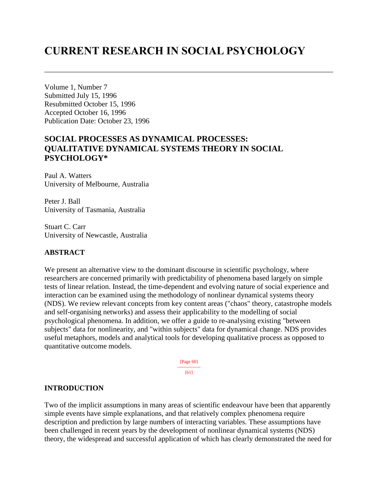# **CURRENT RESEARCH IN SOCIAL PSYCHOLOGY**

Volume 1, Number 7 Submitted July 15, 1996 Resubmitted October 15, 1996 Accepted October 16, 1996 Publication Date: October 23, 1996

# **SOCIAL PROCESSES AS DYNAMICAL PROCESSES: QUALITATIVE DYNAMICAL SYSTEMS THEORY IN SOCIAL PSYCHOLOGY\***

Paul A. Watters University of Melbourne, Australia

Peter J. Ball University of Tasmania, Australia

Stuart C. Carr University of Newcastle, Australia

## **ABSTRACT**

We present an alternative view to the dominant discourse in scientific psychology, where researchers are concerned primarily with predictability of phenomena based largely on simple tests of linear relation. Instead, the time-dependent and evolving nature of social experience and interaction can be examined using the methodology of nonlinear dynamical systems theory (NDS). We review relevant concepts from key content areas ("chaos" theory, catastrophe models and self-organising networks) and assess their applicability to the modelling of social psychological phenomena. In addition, we offer a guide to re-analysing existing "between subjects" data for nonlinearity, and "within subjects" data for dynamical change. NDS provides useful metaphors, models and analytical tools for developing qualitative process as opposed to quantitative outcome models.

> [Page 60] --------------- [61]

#### **INTRODUCTION**

Two of the implicit assumptions in many areas of scientific endeavour have been that apparently simple events have simple explanations, and that relatively complex phenomena require description and prediction by large numbers of interacting variables. These assumptions have been challenged in recent years by the development of nonlinear dynamical systems (NDS) theory, the widespread and successful application of which has clearly demonstrated the need for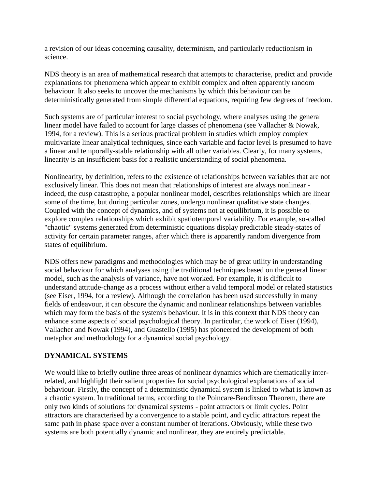a revision of our ideas concerning causality, determinism, and particularly reductionism in science.

NDS theory is an area of mathematical research that attempts to characterise, predict and provide explanations for phenomena which appear to exhibit complex and often apparently random behaviour. It also seeks to uncover the mechanisms by which this behaviour can be deterministically generated from simple differential equations, requiring few degrees of freedom.

Such systems are of particular interest to social psychology, where analyses using the general linear model have failed to account for large classes of phenomena (see Vallacher & Nowak, 1994, for a review). This is a serious practical problem in studies which employ complex multivariate linear analytical techniques, since each variable and factor level is presumed to have a linear and temporally-stable relationship with all other variables. Clearly, for many systems, linearity is an insufficient basis for a realistic understanding of social phenomena.

Nonlinearity, by definition, refers to the existence of relationships between variables that are not exclusively linear. This does not mean that relationships of interest are always nonlinear indeed, the cusp catastrophe, a popular nonlinear model, describes relationships which are linear some of the time, but during particular zones, undergo nonlinear qualitative state changes. Coupled with the concept of dynamics, and of systems not at equilibrium, it is possible to explore complex relationships which exhibit spatiotemporal variability. For example, so-called "chaotic" systems generated from deterministic equations display predictable steady-states of activity for certain parameter ranges, after which there is apparently random divergence from states of equilibrium.

NDS offers new paradigms and methodologies which may be of great utility in understanding social behaviour for which analyses using the traditional techniques based on the general linear model, such as the analysis of variance, have not worked. For example, it is difficult to understand attitude-change as a process without either a valid temporal model or related statistics (see Eiser, 1994, for a review). Although the correlation has been used successfully in many fields of endeavour, it can obscure the dynamic and nonlinear relationships between variables which may form the basis of the system's behaviour. It is in this context that NDS theory can enhance some aspects of social psychological theory. In particular, the work of Eiser (1994), Vallacher and Nowak (1994), and Guastello (1995) has pioneered the development of both metaphor and methodology for a dynamical social psychology.

# **DYNAMICAL SYSTEMS**

We would like to briefly outline three areas of nonlinear dynamics which are thematically interrelated, and highlight their salient properties for social psychological explanations of social behaviour. Firstly, the concept of a deterministic dynamical system is linked to what is known as a chaotic system. In traditional terms, according to the Poincare-Bendixson Theorem, there are only two kinds of solutions for dynamical systems - point attractors or limit cycles. Point attractors are characterised by a convergence to a stable point, and cyclic attractors repeat the same path in phase space over a constant number of iterations. Obviously, while these two systems are both potentially dynamic and nonlinear, they are entirely predictable.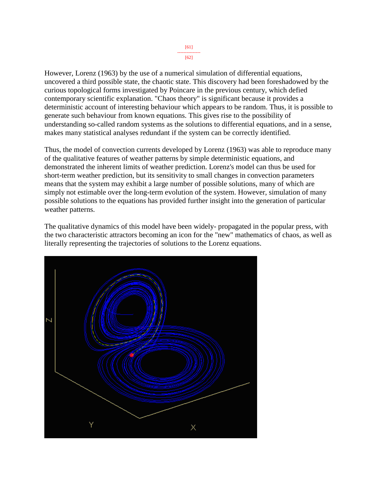[61] --------------- [62]

However, Lorenz (1963) by the use of a numerical simulation of differential equations, uncovered a third possible state, the chaotic state. This discovery had been foreshadowed by the curious topological forms investigated by Poincare in the previous century, which defied contemporary scientific explanation. "Chaos theory" is significant because it provides a deterministic account of interesting behaviour which appears to be random. Thus, it is possible to generate such behaviour from known equations. This gives rise to the possibility of understanding so-called random systems as the solutions to differential equations, and in a sense, makes many statistical analyses redundant if the system can be correctly identified.

Thus, the model of convection currents developed by Lorenz (1963) was able to reproduce many of the qualitative features of weather patterns by simple deterministic equations, and demonstrated the inherent limits of weather prediction. Lorenz's model can thus be used for short-term weather prediction, but its sensitivity to small changes in convection parameters means that the system may exhibit a large number of possible solutions, many of which are simply not estimable over the long-term evolution of the system. However, simulation of many possible solutions to the equations has provided further insight into the generation of particular weather patterns.

The qualitative dynamics of this model have been widely- propagated in the popular press, with the two characteristic attractors becoming an icon for the "new" mathematics of chaos, as well as literally representing the trajectories of solutions to the Lorenz equations.

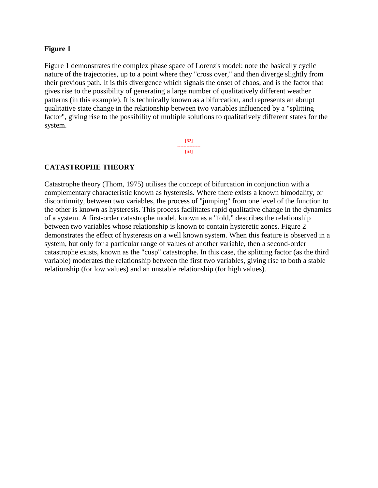# **Figure 1**

Figure 1 demonstrates the complex phase space of Lorenz's model: note the basically cyclic nature of the trajectories, up to a point where they "cross over," and then diverge slightly from their previous path. It is this divergence which signals the onset of chaos, and is the factor that gives rise to the possibility of generating a large number of qualitatively different weather patterns (in this example). It is technically known as a bifurcation, and represents an abrupt qualitative state change in the relationship between two variables influenced by a "splitting factor", giving rise to the possibility of multiple solutions to qualitatively different states for the system.

> [62] --------------- [63]

# **CATASTROPHE THEORY**

Catastrophe theory (Thom, 1975) utilises the concept of bifurcation in conjunction with a complementary characteristic known as hysteresis. Where there exists a known bimodality, or discontinuity, between two variables, the process of "jumping" from one level of the function to the other is known as hysteresis. This process facilitates rapid qualitative change in the dynamics of a system. A first-order catastrophe model, known as a "fold," describes the relationship between two variables whose relationship is known to contain hysteretic zones. Figure 2 demonstrates the effect of hysteresis on a well known system. When this feature is observed in a system, but only for a particular range of values of another variable, then a second-order catastrophe exists, known as the "cusp" catastrophe. In this case, the splitting factor (as the third variable) moderates the relationship between the first two variables, giving rise to both a stable relationship (for low values) and an unstable relationship (for high values).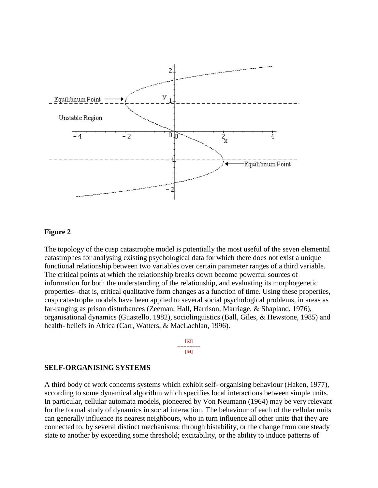

#### **Figure 2**

The topology of the cusp catastrophe model is potentially the most useful of the seven elemental catastrophes for analysing existing psychological data for which there does not exist a unique functional relationship between two variables over certain parameter ranges of a third variable. The critical points at which the relationship breaks down become powerful sources of information for both the understanding of the relationship, and evaluating its morphogenetic properties--that is, critical qualitative form changes as a function of time. Using these properties, cusp catastrophe models have been applied to several social psychological problems, in areas as far-ranging as prison disturbances (Zeeman, Hall, Harrison, Marriage, & Shapland, 1976), organisational dynamics (Guastello, 1982), sociolinguistics (Ball, Giles, & Hewstone, 1985) and health- beliefs in Africa (Carr, Watters, & MacLachlan, 1996).



#### **SELF-ORGANISING SYSTEMS**

A third body of work concerns systems which exhibit self- organising behaviour (Haken, 1977), according to some dynamical algorithm which specifies local interactions between simple units. In particular, cellular automata models, pioneered by Von Neumann (1964) may be very relevant for the formal study of dynamics in social interaction. The behaviour of each of the cellular units can generally influence its nearest neighbours, who in turn influence all other units that they are connected to, by several distinct mechanisms: through bistability, or the change from one steady state to another by exceeding some threshold; excitability, or the ability to induce patterns of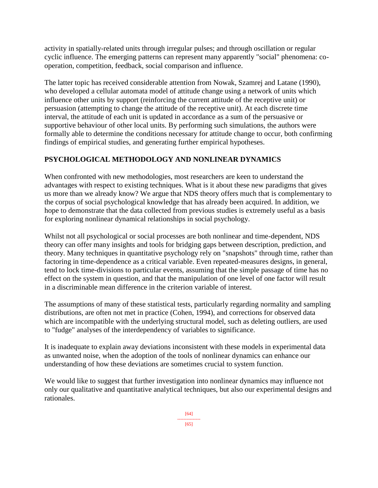activity in spatially-related units through irregular pulses; and through oscillation or regular cyclic influence. The emerging patterns can represent many apparently "social" phenomena: cooperation, competition, feedback, social comparison and influence.

The latter topic has received considerable attention from Nowak, Szamrej and Latane (1990), who developed a cellular automata model of attitude change using a network of units which influence other units by support (reinforcing the current attitude of the receptive unit) or persuasion (attempting to change the attitude of the receptive unit). At each discrete time interval, the attitude of each unit is updated in accordance as a sum of the persuasive or supportive behaviour of other local units. By performing such simulations, the authors were formally able to determine the conditions necessary for attitude change to occur, both confirming findings of empirical studies, and generating further empirical hypotheses.

# **PSYCHOLOGICAL METHODOLOGY AND NONLINEAR DYNAMICS**

When confronted with new methodologies, most researchers are keen to understand the advantages with respect to existing techniques. What is it about these new paradigms that gives us more than we already know? We argue that NDS theory offers much that is complementary to the corpus of social psychological knowledge that has already been acquired. In addition, we hope to demonstrate that the data collected from previous studies is extremely useful as a basis for exploring nonlinear dynamical relationships in social psychology.

Whilst not all psychological or social processes are both nonlinear and time-dependent, NDS theory can offer many insights and tools for bridging gaps between description, prediction, and theory. Many techniques in quantitative psychology rely on "snapshots" through time, rather than factoring in time-dependence as a critical variable. Even repeated-measures designs, in general, tend to lock time-divisions to particular events, assuming that the simple passage of time has no effect on the system in question, and that the manipulation of one level of one factor will result in a discriminable mean difference in the criterion variable of interest.

The assumptions of many of these statistical tests, particularly regarding normality and sampling distributions, are often not met in practice (Cohen, 1994), and corrections for observed data which are incompatible with the underlying structural model, such as deleting outliers, are used to "fudge" analyses of the interdependency of variables to significance.

It is inadequate to explain away deviations inconsistent with these models in experimental data as unwanted noise, when the adoption of the tools of nonlinear dynamics can enhance our understanding of how these deviations are sometimes crucial to system function.

We would like to suggest that further investigation into nonlinear dynamics may influence not only our qualitative and quantitative analytical techniques, but also our experimental designs and rationales.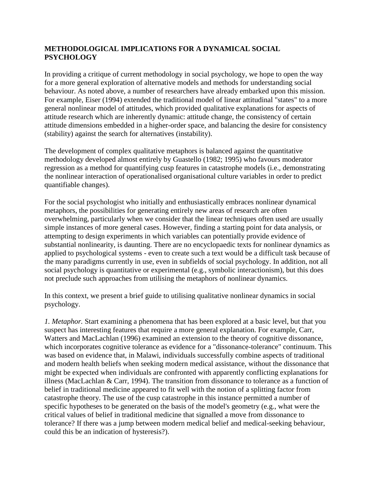# **METHODOLOGICAL IMPLICATIONS FOR A DYNAMICAL SOCIAL PSYCHOLOGY**

In providing a critique of current methodology in social psychology, we hope to open the way for a more general exploration of alternative models and methods for understanding social behaviour. As noted above, a number of researchers have already embarked upon this mission. For example, Eiser (1994) extended the traditional model of linear attitudinal "states" to a more general nonlinear model of attitudes, which provided qualitative explanations for aspects of attitude research which are inherently dynamic: attitude change, the consistency of certain attitude dimensions embedded in a higher-order space, and balancing the desire for consistency (stability) against the search for alternatives (instability).

The development of complex qualitative metaphors is balanced against the quantitative methodology developed almost entirely by Guastello (1982; 1995) who favours moderator regression as a method for quantifying cusp features in catastrophe models (i.e., demonstrating the nonlinear interaction of operationalised organisational culture variables in order to predict quantifiable changes).

For the social psychologist who initially and enthusiastically embraces nonlinear dynamical metaphors, the possibilities for generating entirely new areas of research are often overwhelming, particularly when we consider that the linear techniques often used are usually simple instances of more general cases. However, finding a starting point for data analysis, or attempting to design experiments in which variables can potentially provide evidence of substantial nonlinearity, is daunting. There are no encyclopaedic texts for nonlinear dynamics as applied to psychological systems - even to create such a text would be a difficult task because of the many paradigms currently in use, even in subfields of social psychology. In addition, not all social psychology is quantitative or experimental (e.g., symbolic interactionism), but this does not preclude such approaches from utilising the metaphors of nonlinear dynamics.

In this context, we present a brief guide to utilising qualitative nonlinear dynamics in social psychology.

*1. Metaphor.* Start examining a phenomena that has been explored at a basic level, but that you suspect has interesting features that require a more general explanation. For example, Carr, Watters and MacLachlan (1996) examined an extension to the theory of cognitive dissonance, which incorporates cognitive tolerance as evidence for a "dissonance-tolerance" continuum. This was based on evidence that, in Malawi, individuals successfully combine aspects of traditional and modern health beliefs when seeking modern medical assistance, without the dissonance that might be expected when individuals are confronted with apparently conflicting explanations for illness (MacLachlan & Carr, 1994). The transition from dissonance to tolerance as a function of belief in traditional medicine appeared to fit well with the notion of a splitting factor from catastrophe theory. The use of the cusp catastrophe in this instance permitted a number of specific hypotheses to be generated on the basis of the model's geometry (e.g., what were the critical values of belief in traditional medicine that signalled a move from dissonance to tolerance? If there was a jump between modern medical belief and medical-seeking behaviour, could this be an indication of hysteresis?).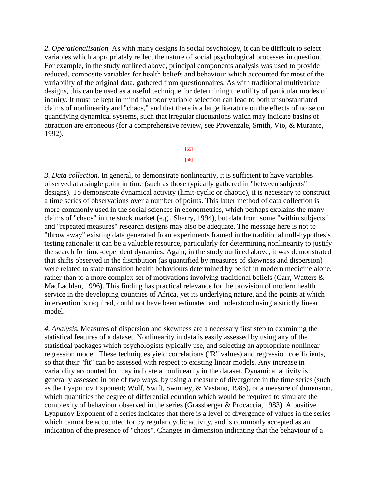*2. Operationalisation.* As with many designs in social psychology, it can be difficult to select variables which appropriately reflect the nature of social psychological processes in question. For example, in the study outlined above, principal components analysis was used to provide reduced, composite variables for health beliefs and behaviour which accounted for most of the variability of the original data, gathered from questionnaires. As with traditional multivariate designs, this can be used as a useful technique for determining the utility of particular modes of inquiry. It must be kept in mind that poor variable selection can lead to both unsubstantiated claims of nonlinearity and "chaos," and that there is a large literature on the effects of noise on quantifying dynamical systems, such that irregular fluctuations which may indicate basins of attraction are erroneous (for a comprehensive review, see Provenzale, Smith, Vio, & Murante, 1992).

> [65] --------------- [66]

*3. Data collection.* In general, to demonstrate nonlinearity, it is sufficient to have variables observed at a single point in time (such as those typically gathered in "between subjects" designs). To demonstrate dynamical activity (limit-cyclic or chaotic), it is necessary to construct a time series of observations over a number of points. This latter method of data collection is more commonly used in the social sciences in econometrics, which perhaps explains the many claims of "chaos" in the stock market (e.g., Sherry, 1994), but data from some "within subjects" and "repeated measures" research designs may also be adequate. The message here is not to "throw away" existing data generated from experiments framed in the traditional null-hypothesis testing rationale: it can be a valuable resource, particularly for determining nonlinearity to justify the search for time-dependent dynamics. Again, in the study outlined above, it was demonstrated that shifts observed in the distribution (as quantified by measures of skewness and dispersion) were related to state transition health behaviours determined by belief in modern medicine alone, rather than to a more complex set of motivations involving traditional beliefs (Carr, Watters & MacLachlan, 1996). This finding has practical relevance for the provision of modern health service in the developing countries of Africa, yet its underlying nature, and the points at which intervention is required, could not have been estimated and understood using a strictly linear model.

*4. Analysis.* Measures of dispersion and skewness are a necessary first step to examining the statistical features of a dataset. Nonlinearity in data is easily assessed by using any of the statistical packages which psychologists typically use, and selecting an appropriate nonlinear regression model. These techniques yield correlations ("R" values) and regression coefficients, so that their "fit" can be assessed with respect to existing linear models. Any increase in variability accounted for may indicate a nonlinearity in the dataset. Dynamical activity is generally assessed in one of two ways: by using a measure of divergence in the time series (such as the Lyapunov Exponent; Wolf, Swift, Swinney, & Vastano, 1985), or a measure of dimension, which quantifies the degree of differential equation which would be required to simulate the complexity of behaviour observed in the series (Grassberger & Procaccia, 1983). A positive Lyapunov Exponent of a series indicates that there is a level of divergence of values in the series which cannot be accounted for by regular cyclic activity, and is commonly accepted as an indication of the presence of "chaos". Changes in dimension indicating that the behaviour of a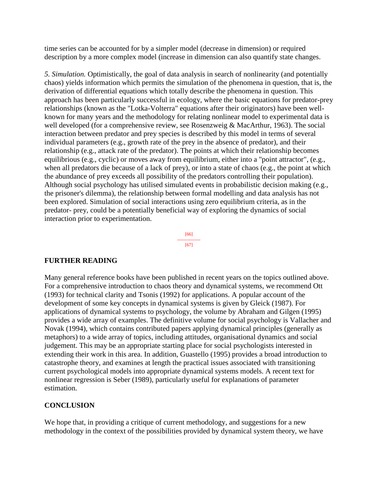time series can be accounted for by a simpler model (decrease in dimension) or required description by a more complex model (increase in dimension can also quantify state changes.

*5. Simulation.* Optimistically, the goal of data analysis in search of nonlinearity (and potentially chaos) yields information which permits the simulation of the phenomena in question, that is, the derivation of differential equations which totally describe the phenomena in question. This approach has been particularly successful in ecology, where the basic equations for predator-prey relationships (known as the "Lotka-Volterra" equations after their originators) have been wellknown for many years and the methodology for relating nonlinear model to experimental data is well developed (for a comprehensive review, see Rosenzweig & MacArthur, 1963). The social interaction between predator and prey species is described by this model in terms of several individual parameters (e.g., growth rate of the prey in the absence of predator), and their relationship (e.g., attack rate of the predator). The points at which their relationship becomes equilibrious (e.g., cyclic) or moves away from equilibrium, either into a "point attractor", (e.g., when all predators die because of a lack of prey), or into a state of chaos (e.g., the point at which the abundance of prey exceeds all possibility of the predators controlling their population). Although social psychology has utilised simulated events in probabilistic decision making (e.g., the prisoner's dilemma), the relationship between formal modelling and data analysis has not been explored. Simulation of social interactions using zero equilibrium criteria, as in the predator- prey, could be a potentially beneficial way of exploring the dynamics of social interaction prior to experimentation.



## **FURTHER READING**

Many general reference books have been published in recent years on the topics outlined above. For a comprehensive introduction to chaos theory and dynamical systems, we recommend Ott (1993) for technical clarity and Tsonis (1992) for applications. A popular account of the development of some key concepts in dynamical systems is given by Gleick (1987). For applications of dynamical systems to psychology, the volume by Abraham and Gilgen (1995) provides a wide array of examples. The definitive volume for social psychology is Vallacher and Novak (1994), which contains contributed papers applying dynamical principles (generally as metaphors) to a wide array of topics, including attitudes, organisational dynamics and social judgement. This may be an appropriate starting place for social psychologists interested in extending their work in this area. In addition, Guastello (1995) provides a broad introduction to catastrophe theory, and examines at length the practical issues associated with transitioning current psychological models into appropriate dynamical systems models. A recent text for nonlinear regression is Seber (1989), particularly useful for explanations of parameter estimation.

## **CONCLUSION**

We hope that, in providing a critique of current methodology, and suggestions for a new methodology in the context of the possibilities provided by dynamical system theory, we have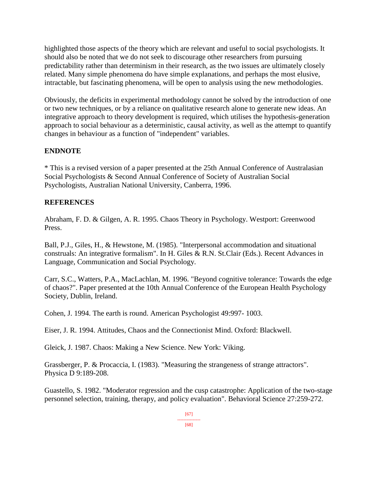highlighted those aspects of the theory which are relevant and useful to social psychologists. It should also be noted that we do not seek to discourage other researchers from pursuing predictability rather than determinism in their research, as the two issues are ultimately closely related. Many simple phenomena do have simple explanations, and perhaps the most elusive, intractable, but fascinating phenomena, will be open to analysis using the new methodologies.

Obviously, the deficits in experimental methodology cannot be solved by the introduction of one or two new techniques, or by a reliance on qualitative research alone to generate new ideas. An integrative approach to theory development is required, which utilises the hypothesis-generation approach to social behaviour as a deterministic, causal activity, as well as the attempt to quantify changes in behaviour as a function of "independent" variables.

# **ENDNOTE**

\* This is a revised version of a paper presented at the 25th Annual Conference of Australasian Social Psychologists & Second Annual Conference of Society of Australian Social Psychologists, Australian National University, Canberra, 1996.

# **REFERENCES**

Abraham, F. D. & Gilgen, A. R. 1995. Chaos Theory in Psychology. Westport: Greenwood Press.

Ball, P.J., Giles, H., & Hewstone, M. (1985). "Interpersonal accommodation and situational construals: An integrative formalism". In H. Giles & R.N. St.Clair (Eds.). Recent Advances in Language, Communication and Social Psychology.

Carr, S.C., Watters, P.A., MacLachlan, M. 1996. "Beyond cognitive tolerance: Towards the edge of chaos?". Paper presented at the 10th Annual Conference of the European Health Psychology Society, Dublin, Ireland.

Cohen, J. 1994. The earth is round. American Psychologist 49:997- 1003.

Eiser, J. R. 1994. Attitudes, Chaos and the Connectionist Mind. Oxford: Blackwell.

Gleick, J. 1987. Chaos: Making a New Science. New York: Viking.

Grassberger, P. & Procaccia, I. (1983). "Measuring the strangeness of strange attractors". Physica D 9:189-208.

Guastello, S. 1982. "Moderator regression and the cusp catastrophe: Application of the two-stage personnel selection, training, therapy, and policy evaluation". Behavioral Science 27:259-272.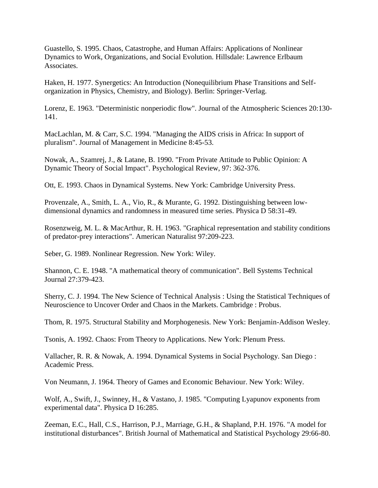Guastello, S. 1995. Chaos, Catastrophe, and Human Affairs: Applications of Nonlinear Dynamics to Work, Organizations, and Social Evolution. Hillsdale: Lawrence Erlbaum Associates.

Haken, H. 1977. Synergetics: An Introduction (Nonequilibrium Phase Transitions and Selforganization in Physics, Chemistry, and Biology). Berlin: Springer-Verlag.

Lorenz, E. 1963. "Deterministic nonperiodic flow". Journal of the Atmospheric Sciences 20:130- 141.

MacLachlan, M. & Carr, S.C. 1994. "Managing the AIDS crisis in Africa: In support of pluralism". Journal of Management in Medicine 8:45-53.

Nowak, A., Szamrej, J., & Latane, B. 1990. "From Private Attitude to Public Opinion: A Dynamic Theory of Social Impact". Psychological Review, 97: 362-376.

Ott, E. 1993. Chaos in Dynamical Systems. New York: Cambridge University Press.

Provenzale, A., Smith, L. A., Vio, R., & Murante, G. 1992. Distinguishing between lowdimensional dynamics and randomness in measured time series. Physica D 58:31-49.

Rosenzweig, M. L. & MacArthur, R. H. 1963. "Graphical representation and stability conditions of predator-prey interactions". American Naturalist 97:209-223.

Seber, G. 1989. Nonlinear Regression. New York: Wiley.

Shannon, C. E. 1948. "A mathematical theory of communication". Bell Systems Technical Journal 27:379-423.

Sherry, C. J. 1994. The New Science of Technical Analysis : Using the Statistical Techniques of Neuroscience to Uncover Order and Chaos in the Markets. Cambridge : Probus.

Thom, R. 1975. Structural Stability and Morphogenesis. New York: Benjamin-Addison Wesley.

Tsonis, A. 1992. Chaos: From Theory to Applications. New York: Plenum Press.

Vallacher, R. R. & Nowak, A. 1994. Dynamical Systems in Social Psychology. San Diego : Academic Press.

Von Neumann, J. 1964. Theory of Games and Economic Behaviour. New York: Wiley.

Wolf, A., Swift, J., Swinney, H., & Vastano, J. 1985. "Computing Lyapunov exponents from experimental data". Physica D 16:285.

Zeeman, E.C., Hall, C.S., Harrison, P.J., Marriage, G.H., & Shapland, P.H. 1976. "A model for institutional disturbances". British Journal of Mathematical and Statistical Psychology 29:66-80.